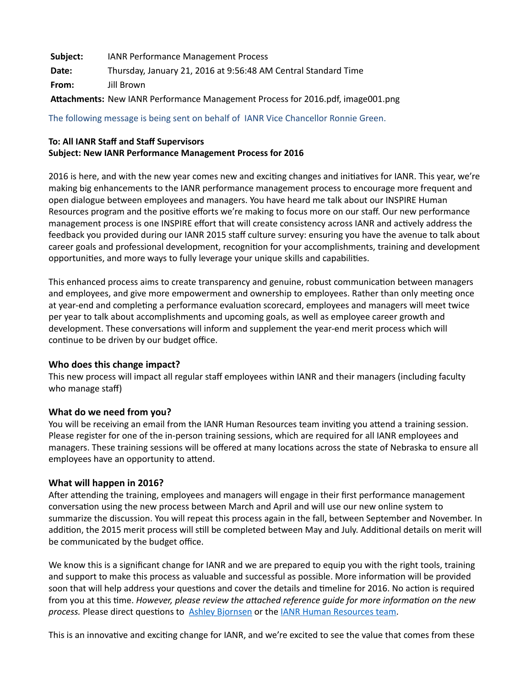| Subject: | <b>IANR Performance Management Process</b>                                      |
|----------|---------------------------------------------------------------------------------|
| Date:    | Thursday, January 21, 2016 at 9:56:48 AM Central Standard Time                  |
| From:    | Jill Brown                                                                      |
|          | Attachments: New IANR Performance Management Process for 2016.pdf, image001.png |

The following message is being sent on behalf of IANR Vice Chancellor Ronnie Green.

## **To: All IANR Staff and Staff Supervisors Subject: New IANR Performance Management Process for 2016**

2016 is here, and with the new year comes new and exciting changes and initiatives for IANR. This year, we're making big enhancements to the IANR performance management process to encourage more frequent and open dialogue between employees and managers. You have heard me talk about our INSPIRE Human Resources program and the positive efforts we're making to focus more on our staff. Our new performance management process is one INSPIRE effort that will create consistency across IANR and actively address the feedback you provided during our IANR 2015 staff culture survey: ensuring you have the avenue to talk about career goals and professional development, recognition for your accomplishments, training and development opportunities, and more ways to fully leverage your unique skills and capabilities.

This enhanced process aims to create transparency and genuine, robust communication between managers and employees, and give more empowerment and ownership to employees. Rather than only meeting once at year-end and completing a performance evaluation scorecard, employees and managers will meet twice per year to talk about accomplishments and upcoming goals, as well as employee career growth and development. These conversations will inform and supplement the year-end merit process which will continue to be driven by our budget office.

## **Who does this change impact?**

This new process will impact all regular staff employees within IANR and their managers (including faculty who manage staff)

## **What do we need from you?**

You will be receiving an email from the IANR Human Resources team inviting you attend a training session. Please register for one of the in-person training sessions, which are required for all IANR employees and managers. These training sessions will be offered at many locations across the state of Nebraska to ensure all employees have an opportunity to attend.

## **What will happen in 2016?**

After attending the training, employees and managers will engage in their first performance management conversation using the new process between March and April and will use our new online system to summarize the discussion. You will repeat this process again in the fall, between September and November. In addition, the 2015 merit process will still be completed between May and July. Additional details on merit will be communicated by the budget office.

We know this is a significant change for IANR and we are prepared to equip you with the right tools, training and support to make this process as valuable and successful as possible. More information will be provided soon that will help address your questions and cover the details and timeline for 2016. No action is required from you at this time. *However, please review the attached reference guide for more information on the new process.* Please direct questions to Ashley Bjornsen or the IANR Human Resources team.

This is an innovative and exciting change for IANR, and we're excited to see the value that comes from these